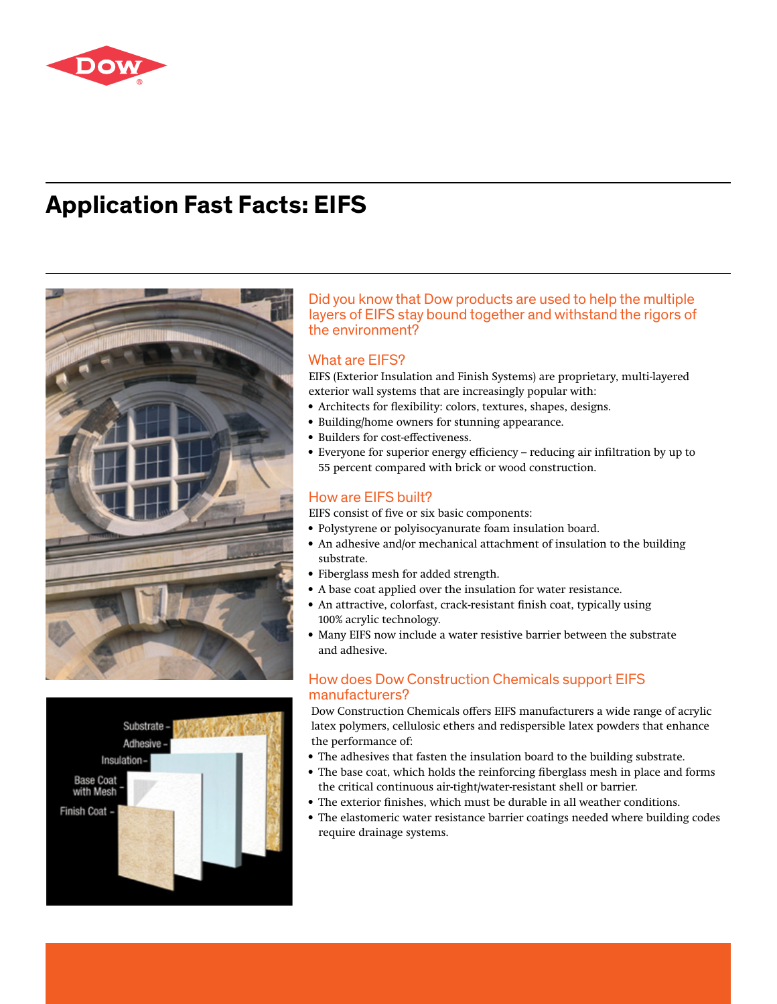

# **Application Fast Facts: EIFS**





### Did you know that Dow products are used to help the multiple layers of EIFS stay bound together and withstand the rigors of the environment?

### What are EIFS?

EIFS (Exterior Insulation and Finish Systems) are proprietary, multi-layered exterior wall systems that are increasingly popular with:

- Architects for flexibility: colors, textures, shapes, designs.
- Building/home owners for stunning appearance.
- Builders for cost-effectiveness.
- Everyone for superior energy efficiency reducing air infiltration by up to 55 percent compared with brick or wood construction.

## How are EIFS built?

EIFS consist of five or six basic components:

- Polystyrene or polyisocyanurate foam insulation board.
- An adhesive and/or mechanical attachment of insulation to the building substrate.
- Fiberglass mesh for added strength.
- A base coat applied over the insulation for water resistance.
- An attractive, colorfast, crack-resistant finish coat, typically using 100% acrylic technology.
- Many EIFS now include a water resistive barrier between the substrate and adhesive.

# How does Dow Construction Chemicals support EIFS manufacturers?

Dow Construction Chemicals offers EIFS manufacturers a wide range of acrylic latex polymers, cellulosic ethers and redispersible latex powders that enhance the performance of:

- The adhesives that fasten the insulation board to the building substrate.
- The base coat, which holds the reinforcing fiberglass mesh in place and forms the critical continuous air-tight/water-resistant shell or barrier.
- The exterior finishes, which must be durable in all weather conditions.
- The elastomeric water resistance barrier coatings needed where building codes require drainage systems.